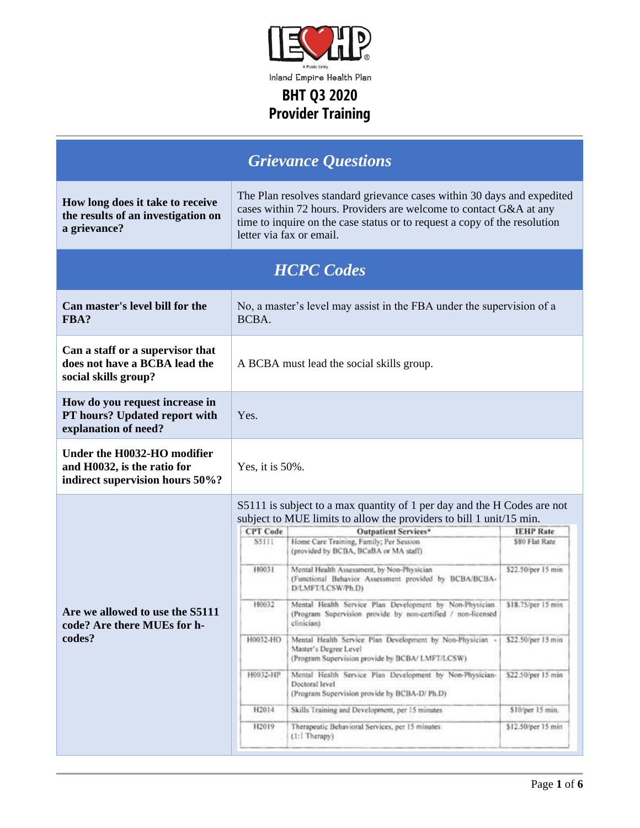

| <b>Grievance Questions</b>                                                                    |                                                                                             |                                                                                                                                                                                                                                                                                                                                                                                                                                                                                                                                                                                                                                                                                                                                                                                                                                                                                                                                         |                                                                                                                                                                      |  |
|-----------------------------------------------------------------------------------------------|---------------------------------------------------------------------------------------------|-----------------------------------------------------------------------------------------------------------------------------------------------------------------------------------------------------------------------------------------------------------------------------------------------------------------------------------------------------------------------------------------------------------------------------------------------------------------------------------------------------------------------------------------------------------------------------------------------------------------------------------------------------------------------------------------------------------------------------------------------------------------------------------------------------------------------------------------------------------------------------------------------------------------------------------------|----------------------------------------------------------------------------------------------------------------------------------------------------------------------|--|
| How long does it take to receive<br>the results of an investigation on<br>a grievance?        |                                                                                             | The Plan resolves standard grievance cases within 30 days and expedited<br>cases within 72 hours. Providers are welcome to contact G&A at any<br>time to inquire on the case status or to request a copy of the resolution<br>letter via fax or email.                                                                                                                                                                                                                                                                                                                                                                                                                                                                                                                                                                                                                                                                                  |                                                                                                                                                                      |  |
| <b>HCPC</b> Codes                                                                             |                                                                                             |                                                                                                                                                                                                                                                                                                                                                                                                                                                                                                                                                                                                                                                                                                                                                                                                                                                                                                                                         |                                                                                                                                                                      |  |
| Can master's level bill for the<br>FBA?                                                       | BCBA.                                                                                       | No, a master's level may assist in the FBA under the supervision of a                                                                                                                                                                                                                                                                                                                                                                                                                                                                                                                                                                                                                                                                                                                                                                                                                                                                   |                                                                                                                                                                      |  |
| Can a staff or a supervisor that<br>does not have a BCBA lead the<br>social skills group?     |                                                                                             | A BCBA must lead the social skills group.                                                                                                                                                                                                                                                                                                                                                                                                                                                                                                                                                                                                                                                                                                                                                                                                                                                                                               |                                                                                                                                                                      |  |
| How do you request increase in<br>PT hours? Updated report with<br>explanation of need?       | Yes.                                                                                        |                                                                                                                                                                                                                                                                                                                                                                                                                                                                                                                                                                                                                                                                                                                                                                                                                                                                                                                                         |                                                                                                                                                                      |  |
| Under the H0032-HO modifier<br>and H0032, is the ratio for<br>indirect supervision hours 50%? | Yes, it is $50\%$ .                                                                         |                                                                                                                                                                                                                                                                                                                                                                                                                                                                                                                                                                                                                                                                                                                                                                                                                                                                                                                                         |                                                                                                                                                                      |  |
| Are we allowed to use the S5111<br>code? Are there MUEs for h-<br>codes?                      | <b>CPT</b> Code<br><b>S5111</b><br>H0031<br>H0032<br>H0032-HO<br>H0032-HP<br>H2014<br>H2019 | S5111 is subject to a max quantity of 1 per day and the H Codes are not<br>subject to MUE limits to allow the providers to bill 1 unit/15 min.<br><b>Outpatient Services*</b><br>Home Care Training, Family; Per Session<br>(provided by BCBA, BCaBA or MA staff)<br>Mental Health Assessment, by Non-Physician<br>(Functional Behavior Assessment provided by BCBA/BCBA-<br>D/LMFT/LCSW/Ph.D)<br>Mental Health Service Plan Development by Non-Physician<br>(Program Supervision provide by non-certified / non-licensed<br>clinician)<br>Mental Health Service Plan Development by Non-Physician -<br>Master's Degree Level<br>(Program Supervision provide by BCBA/ LMFT/LCSW)<br>Mental Health Service Plan Development by Non-Physician-<br>Doctoral level<br>(Program Supervision provide by BCBA-D/ Ph.D)<br>Skills Training and Development, per 15 minutes<br>Therapeutic Behavioral Services, per 15 minutes<br>(1:1 Therapy) | <b>IEHP Rate</b><br>\$80 Flat Rate<br>\$22.50/per 15 min<br>\$18.75/per 15 min<br>\$22.50/per 15 min<br>\$22.50/per 15 min<br>\$10/per 15 min.<br>\$12.50/per 15 min |  |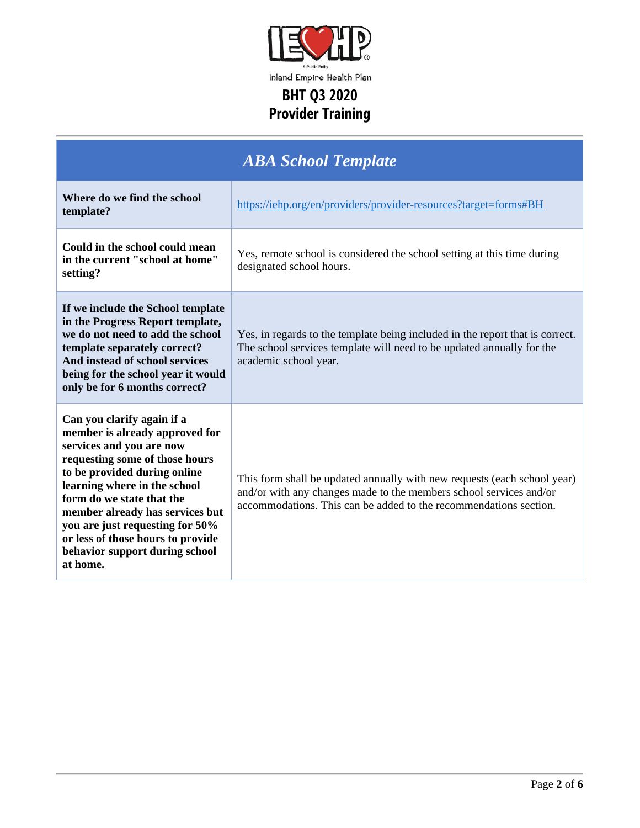

| <b>ABA School Template</b>                                                                                                                                                                                                                                                                                                                                                       |                                                                                                                                                                                                                     |  |
|----------------------------------------------------------------------------------------------------------------------------------------------------------------------------------------------------------------------------------------------------------------------------------------------------------------------------------------------------------------------------------|---------------------------------------------------------------------------------------------------------------------------------------------------------------------------------------------------------------------|--|
| Where do we find the school<br>template?                                                                                                                                                                                                                                                                                                                                         | https://iehp.org/en/providers/provider-resources?target=forms#BH                                                                                                                                                    |  |
| Could in the school could mean<br>in the current "school at home"<br>setting?                                                                                                                                                                                                                                                                                                    | Yes, remote school is considered the school setting at this time during<br>designated school hours.                                                                                                                 |  |
| If we include the School template<br>in the Progress Report template,<br>we do not need to add the school<br>template separately correct?<br>And instead of school services<br>being for the school year it would<br>only be for 6 months correct?                                                                                                                               | Yes, in regards to the template being included in the report that is correct.<br>The school services template will need to be updated annually for the<br>academic school year.                                     |  |
| Can you clarify again if a<br>member is already approved for<br>services and you are now<br>requesting some of those hours<br>to be provided during online<br>learning where in the school<br>form do we state that the<br>member already has services but<br>you are just requesting for 50%<br>or less of those hours to provide<br>behavior support during school<br>at home. | This form shall be updated annually with new requests (each school year)<br>and/or with any changes made to the members school services and/or<br>accommodations. This can be added to the recommendations section. |  |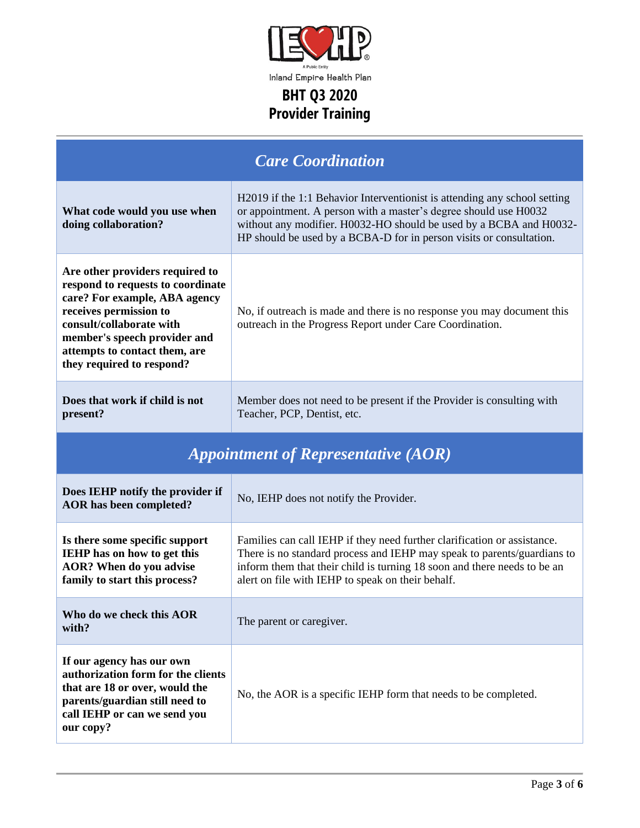

| <b>Care Coordination</b>                                                                                                                                                                                                                                  |                                                                                                                                                                                                                                                                                            |  |  |
|-----------------------------------------------------------------------------------------------------------------------------------------------------------------------------------------------------------------------------------------------------------|--------------------------------------------------------------------------------------------------------------------------------------------------------------------------------------------------------------------------------------------------------------------------------------------|--|--|
| What code would you use when<br>doing collaboration?                                                                                                                                                                                                      | H2019 if the 1:1 Behavior Interventionist is attending any school setting<br>or appointment. A person with a master's degree should use H0032<br>without any modifier. H0032-HO should be used by a BCBA and H0032-<br>HP should be used by a BCBA-D for in person visits or consultation. |  |  |
| Are other providers required to<br>respond to requests to coordinate<br>care? For example, ABA agency<br>receives permission to<br>consult/collaborate with<br>member's speech provider and<br>attempts to contact them, are<br>they required to respond? | No, if outreach is made and there is no response you may document this<br>outreach in the Progress Report under Care Coordination.                                                                                                                                                         |  |  |
| Does that work if child is not<br>present?                                                                                                                                                                                                                | Member does not need to be present if the Provider is consulting with<br>Teacher, PCP, Dentist, etc.                                                                                                                                                                                       |  |  |
| <b>Appointment of Representative (AOR)</b>                                                                                                                                                                                                                |                                                                                                                                                                                                                                                                                            |  |  |
| Does IEHP notify the provider if<br><b>AOR</b> has been completed?                                                                                                                                                                                        | No, IEHP does not notify the Provider.                                                                                                                                                                                                                                                     |  |  |
| Is there some specific support<br><b>IEHP</b> has on how to get this<br><b>AOR?</b> When do you advise<br>family to start this process?                                                                                                                   | Families can call IEHP if they need further clarification or assistance.<br>There is no standard process and IEHP may speak to parents/guardians to<br>inform them that their child is turning 18 soon and there needs to be an<br>alert on file with IEHP to speak on their behalf.       |  |  |
| Who do we check this AOR<br>with?                                                                                                                                                                                                                         | The parent or caregiver.                                                                                                                                                                                                                                                                   |  |  |
| If our agency has our own<br>authorization form for the clients<br>that are 18 or over, would the<br>parents/guardian still need to<br>call IEHP or can we send you<br>our copy?                                                                          | No, the AOR is a specific IEHP form that needs to be completed.                                                                                                                                                                                                                            |  |  |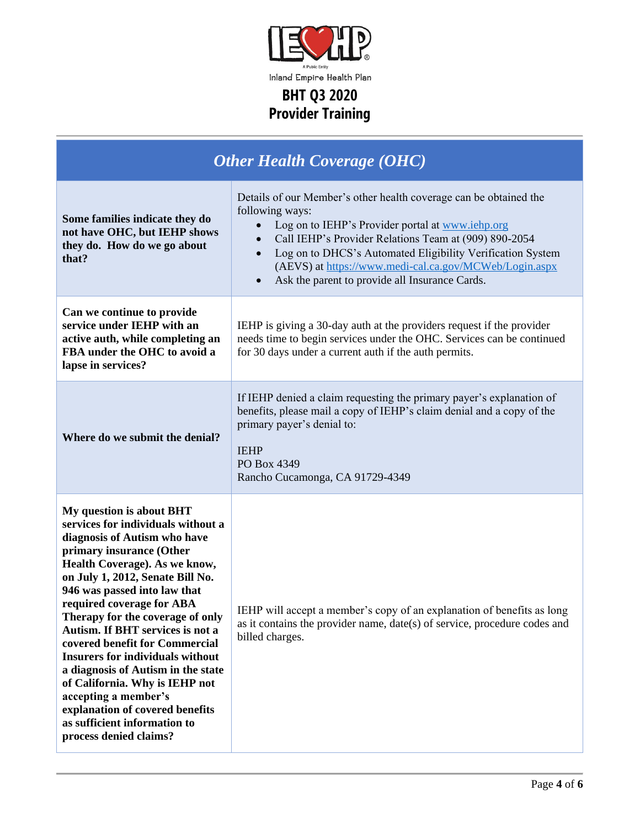

| <b>Other Health Coverage (OHC)</b>                                                                                                                                                                                                                                                                                                                                                                                                                                                                                                                                                                             |                                                                                                                                                                                                                                                                                                                                                                                                                    |  |
|----------------------------------------------------------------------------------------------------------------------------------------------------------------------------------------------------------------------------------------------------------------------------------------------------------------------------------------------------------------------------------------------------------------------------------------------------------------------------------------------------------------------------------------------------------------------------------------------------------------|--------------------------------------------------------------------------------------------------------------------------------------------------------------------------------------------------------------------------------------------------------------------------------------------------------------------------------------------------------------------------------------------------------------------|--|
| Some families indicate they do<br>not have OHC, but IEHP shows<br>they do. How do we go about<br>that?                                                                                                                                                                                                                                                                                                                                                                                                                                                                                                         | Details of our Member's other health coverage can be obtained the<br>following ways:<br>Log on to IEHP's Provider portal at www.iehp.org<br>$\bullet$<br>Call IEHP's Provider Relations Team at (909) 890-2054<br>$\bullet$<br>Log on to DHCS's Automated Eligibility Verification System<br>(AEVS) at https://www.medi-cal.ca.gov/MCWeb/Login.aspx<br>Ask the parent to provide all Insurance Cards.<br>$\bullet$ |  |
| Can we continue to provide<br>service under IEHP with an<br>active auth, while completing an<br>FBA under the OHC to avoid a<br>lapse in services?                                                                                                                                                                                                                                                                                                                                                                                                                                                             | IEHP is giving a 30-day auth at the providers request if the provider<br>needs time to begin services under the OHC. Services can be continued<br>for 30 days under a current auth if the auth permits.                                                                                                                                                                                                            |  |
| Where do we submit the denial?                                                                                                                                                                                                                                                                                                                                                                                                                                                                                                                                                                                 | If IEHP denied a claim requesting the primary payer's explanation of<br>benefits, please mail a copy of IEHP's claim denial and a copy of the<br>primary payer's denial to:<br><b>IEHP</b><br>PO Box 4349<br>Rancho Cucamonga, CA 91729-4349                                                                                                                                                                       |  |
| My question is about BHT<br>services for individuals without a<br>diagnosis of Autism who have<br>primary insurance (Other<br>Health Coverage). As we know,<br>on July 1, 2012, Senate Bill No.<br>946 was passed into law that<br>required coverage for ABA<br>Therapy for the coverage of only<br>Autism. If BHT services is not a<br>covered benefit for Commercial<br><b>Insurers for individuals without</b><br>a diagnosis of Autism in the state<br>of California. Why is IEHP not<br>accepting a member's<br>explanation of covered benefits<br>as sufficient information to<br>process denied claims? | IEHP will accept a member's copy of an explanation of benefits as long<br>as it contains the provider name, date(s) of service, procedure codes and<br>billed charges.                                                                                                                                                                                                                                             |  |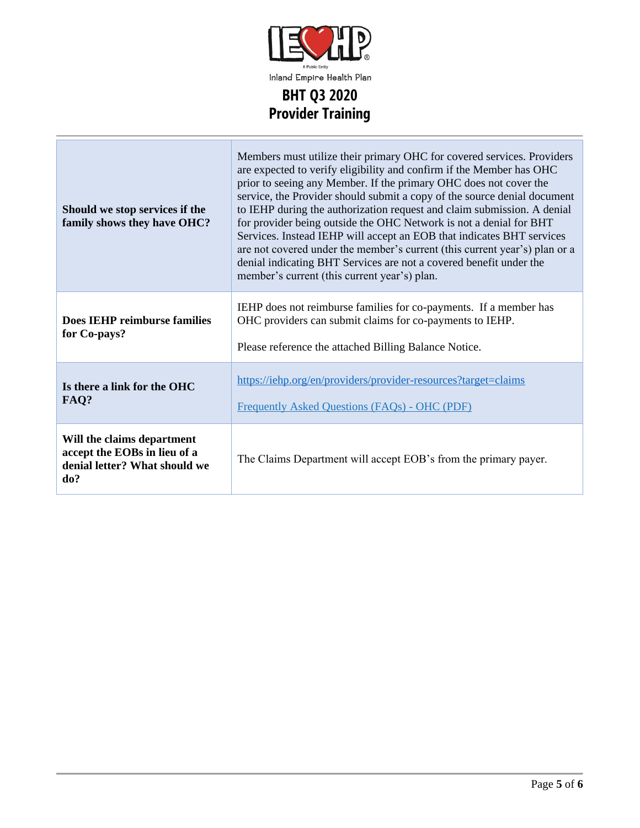

| Should we stop services if the<br>family shows they have OHC?                                      | Members must utilize their primary OHC for covered services. Providers<br>are expected to verify eligibility and confirm if the Member has OHC<br>prior to seeing any Member. If the primary OHC does not cover the<br>service, the Provider should submit a copy of the source denial document<br>to IEHP during the authorization request and claim submission. A denial<br>for provider being outside the OHC Network is not a denial for BHT<br>Services. Instead IEHP will accept an EOB that indicates BHT services<br>are not covered under the member's current (this current year's) plan or a<br>denial indicating BHT Services are not a covered benefit under the<br>member's current (this current year's) plan. |  |
|----------------------------------------------------------------------------------------------------|-------------------------------------------------------------------------------------------------------------------------------------------------------------------------------------------------------------------------------------------------------------------------------------------------------------------------------------------------------------------------------------------------------------------------------------------------------------------------------------------------------------------------------------------------------------------------------------------------------------------------------------------------------------------------------------------------------------------------------|--|
| <b>Does IEHP reimburse families</b><br>for Co-pays?                                                | IEHP does not reimburse families for co-payments. If a member has<br>OHC providers can submit claims for co-payments to IEHP.<br>Please reference the attached Billing Balance Notice.                                                                                                                                                                                                                                                                                                                                                                                                                                                                                                                                        |  |
| Is there a link for the OHC<br>FAQ?                                                                | https://iehp.org/en/providers/provider-resources?target=claims<br>Frequently Asked Questions (FAQs) - OHC (PDF)                                                                                                                                                                                                                                                                                                                                                                                                                                                                                                                                                                                                               |  |
| Will the claims department<br>accept the EOBs in lieu of a<br>denial letter? What should we<br>do? | The Claims Department will accept EOB's from the primary payer.                                                                                                                                                                                                                                                                                                                                                                                                                                                                                                                                                                                                                                                               |  |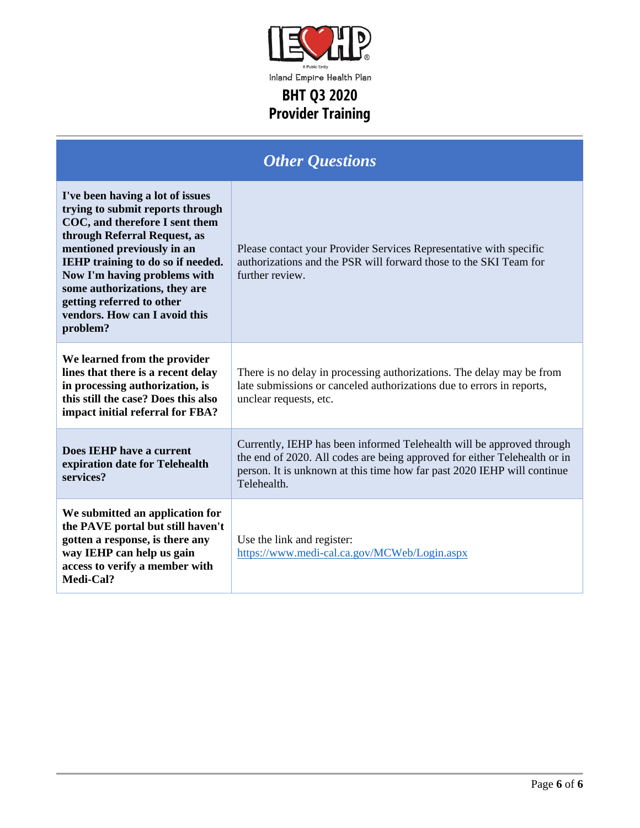

| <b>Other Questions</b>                                                                                                                                                                                                                                                                                                                                      |                                                                                                                                                                                                                                              |  |
|-------------------------------------------------------------------------------------------------------------------------------------------------------------------------------------------------------------------------------------------------------------------------------------------------------------------------------------------------------------|----------------------------------------------------------------------------------------------------------------------------------------------------------------------------------------------------------------------------------------------|--|
| I've been having a lot of issues<br>trying to submit reports through<br>COC, and therefore I sent them<br>through Referral Request, as<br>mentioned previously in an<br><b>IEHP</b> training to do so if needed.<br>Now I'm having problems with<br>some authorizations, they are<br>getting referred to other<br>vendors. How can I avoid this<br>problem? | Please contact your Provider Services Representative with specific<br>authorizations and the PSR will forward those to the SKI Team for<br>further review.                                                                                   |  |
| We learned from the provider<br>lines that there is a recent delay<br>in processing authorization, is<br>this still the case? Does this also<br>impact initial referral for FBA?                                                                                                                                                                            | There is no delay in processing authorizations. The delay may be from<br>late submissions or canceled authorizations due to errors in reports,<br>unclear requests, etc.                                                                     |  |
| Does IEHP have a current<br>expiration date for Telehealth<br>services?                                                                                                                                                                                                                                                                                     | Currently, IEHP has been informed Telehealth will be approved through<br>the end of 2020. All codes are being approved for either Telehealth or in<br>person. It is unknown at this time how far past 2020 IEHP will continue<br>Telehealth. |  |
| We submitted an application for<br>the PAVE portal but still haven't<br>gotten a response, is there any<br>way IEHP can help us gain<br>access to verify a member with<br>Medi-Cal?                                                                                                                                                                         | Use the link and register:<br>https://www.medi-cal.ca.gov/MCWeb/Login.aspx                                                                                                                                                                   |  |